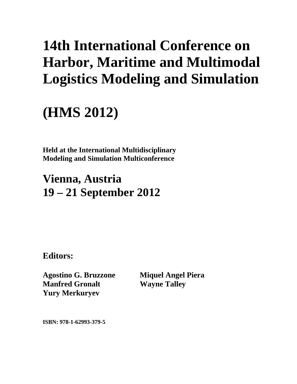# **14th International Conference on Harbor, Maritime and Multimodal Logistics Modeling and Simulation**

# **(HMS 2012)**

**Held at the International Multidisciplinary Modeling and Simulation Multiconference** 

## **Vienna, Austria 19 – 21 September 2012**

**Editors:** 

**Agostino G. Bruzzone Manfred Gronalt Yury Merkuryev** 

**Miquel Angel Piera Wayne Talley** 

**ISBN: 978-1-62993-379-5**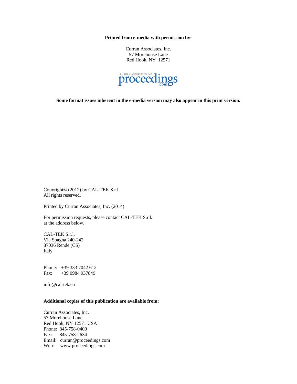**Printed from e-media with permission by:** 

Curran Associates, Inc. 57 Morehouse Lane Red Hook, NY 12571



**Some format issues inherent in the e-media version may also appear in this print version.** 

Copyright© (2012) by CAL-TEK S.r.l. All rights reserved.

Printed by Curran Associates, Inc. (2014)

For permission requests, please contact CAL-TEK S.r.l. at the address below.

CAL-TEK S.r.l. Via Spagna 240-242 87036 Rende (CS) Italy

Phone: +39 333 7042 612 Fax: +39 0984 937849

info@cal-tek.eu

#### **Additional copies of this publication are available from:**

Curran Associates, Inc. 57 Morehouse Lane Red Hook, NY 12571 USA Phone: 845-758-0400 Fax: 845-758-2634 Email: curran@proceedings.com Web: www.proceedings.com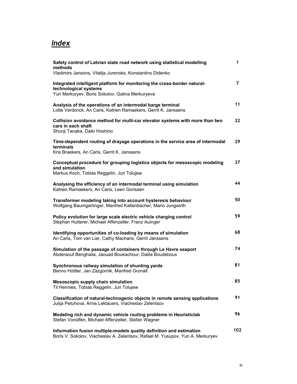### *Index*

| Safety control of Latvian state road network using statistical modelling<br>methods                                                                     | 1   |
|---------------------------------------------------------------------------------------------------------------------------------------------------------|-----|
| Vladimirs Jansons, Vitalijs Jurenoks, Konstantins Didenko                                                                                               |     |
| Integrated intelligent platform for monitoring the cross-border natural-<br>technological systems<br>Yuri Merkuryev, Boris Sokolov, Galina Merkuryeva   | 7   |
| Analysis of the operations of an intermodal barge terminal<br>Lotte Verdonck, An Caris, Katrien Ramaekers, Gerrit K. Janssens                           | 11  |
| Collision avoidance method for multi-car elevator systems with more than two<br>cars in each shaft<br>Shunji Tanaka, Daiki Hoshino                      | 22  |
| Time-dependent routing of drayage operations in the service area of intermodal<br>terminals<br>Kris Braekers, An Caris, Gerrit K. Janssens              | 29  |
| Conceptual procedure for grouping logistics objects for mesoscopic modeling<br>and simulation<br>Markus Koch, Tobias Reggelin, Juri Tolujew             | 37  |
| Analysing the efficiency of an intermodal terminal using simulation<br>Katrien Ramaekers, An Caris, Leen Gorissen                                       | 44  |
| Transformer modeling taking into account hysteresis behaviour<br>Wolfgang Baumgartinger, Manfred Kaltenbacher, Mario Jungwirth                          | 50  |
| Policy evolution for large scale electric vehicle charging control<br>Stephan Hutterer, Michael Affenzeller, Franz Auinger                              | 59  |
| Identifying opportunities of co-loading by means of simulation<br>An Caris, Tom van Lier, Cathy Macharis, Gerrit Janssens                               | 68  |
| Simulation of the passage of containers through Le Havre seaport<br>Abderaouf Benghalia, Jaouad Boukachour, Dalila Boudebous                            | 74  |
| Synchronous railway simulation of shunting yards<br>Benno Hüttler, Jan Zazgornik, Manfred Gronalt                                                       | 81  |
| Mesoscopic supply chain simulation<br>Til Hennies, Tobias Reggelin, Juri Tolujew                                                                        | 85  |
| Classification of natural-technogenic objects in remote sensing applications<br>Julija Petuhova, Arnis Lektauers, Viacheslav Zelentsov                  | 91  |
| Modeling rich and dynamic vehicle routing problems in Heuristiclab<br>Stefan Vonolfen, Michael Affenzeller, Stefan Wagner                               | 96  |
| Information fusion multiple-models quality definition and estimation<br>Boris V. Sokolov, Viacheslav A. Zelentsov, Rafael M. Yusupov, Yuri A. Merkuryev | 102 |